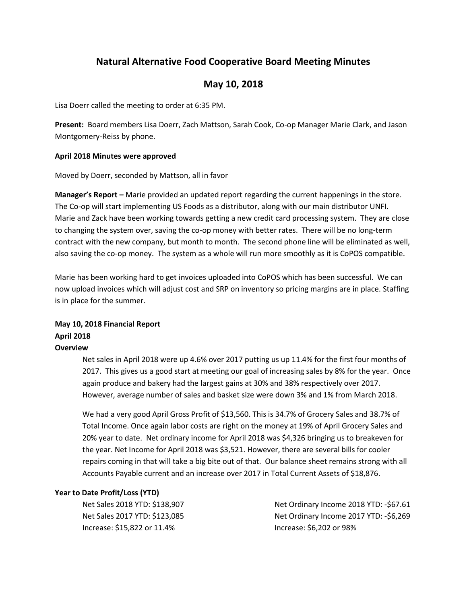# **Natural Alternative Food Cooperative Board Meeting Minutes**

## **May 10, 2018**

Lisa Doerr called the meeting to order at 6:35 PM.

**Present:** Board members Lisa Doerr, Zach Mattson, Sarah Cook, Co-op Manager Marie Clark, and Jason Montgomery-Reiss by phone.

#### **April 2018 Minutes were approved**

Moved by Doerr, seconded by Mattson, all in favor

**Manager's Report –** Marie provided an updated report regarding the current happenings in the store. The Co-op will start implementing US Foods as a distributor, along with our main distributor UNFI. Marie and Zack have been working towards getting a new credit card processing system. They are close to changing the system over, saving the co-op money with better rates. There will be no long-term contract with the new company, but month to month. The second phone line will be eliminated as well, also saving the co-op money. The system as a whole will run more smoothly as it is CoPOS compatible.

Marie has been working hard to get invoices uploaded into CoPOS which has been successful. We can now upload invoices which will adjust cost and SRP on inventory so pricing margins are in place. Staffing is in place for the summer.

### **May 10, 2018 Financial Report April 2018 Overview**

Net sales in April 2018 were up 4.6% over 2017 putting us up 11.4% for the first four months of 2017. This gives us a good start at meeting our goal of increasing sales by 8% for the year. Once again produce and bakery had the largest gains at 30% and 38% respectively over 2017. However, average number of sales and basket size were down 3% and 1% from March 2018.

We had a very good April Gross Profit of \$13,560. This is 34.7% of Grocery Sales and 38.7% of Total Income. Once again labor costs are right on the money at 19% of April Grocery Sales and 20% year to date. Net ordinary income for April 2018 was \$4,326 bringing us to breakeven for the year. Net Income for April 2018 was \$3,521. However, there are several bills for cooler repairs coming in that will take a big bite out of that. Our balance sheet remains strong with all Accounts Payable current and an increase over 2017 in Total Current Assets of \$18,876.

#### **Year to Date Profit/Loss (YTD)**

Net Sales 2018 YTD: \$138,907 Net Sales 2017 YTD: \$123,085 Increase: \$15,822 or 11.4%

Net Ordinary Income 2018 YTD: -\$67.61 Net Ordinary Income 2017 YTD: -\$6,269 Increase: \$6,202 or 98%